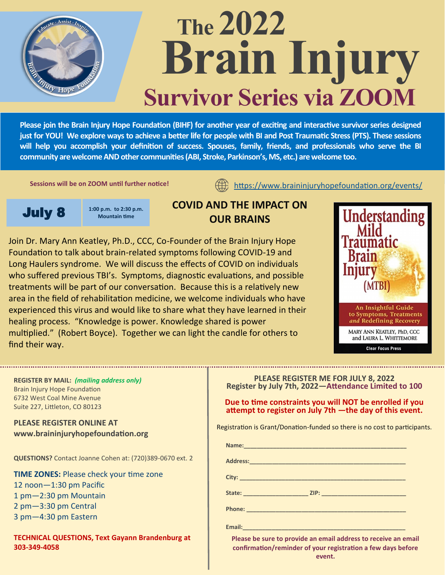

# **The 2022 Brain Injury Survivor Series via ZOOM**

**Please join the Brain Injury Hope Foundation (BIHF) for another year of exciting and interactive survivor series designed just for YOU! We explore ways to achieve a better life for people with BI and Post Traumatic Stress (PTS). These sessions will help you accomplish your definition of success. Spouses, family, friends, and professionals who serve the BI community are welcome AND other communities (ABI, Stroke, Parkinson's, MS, etc.) are welcome too.** 

**Sessions will be on ZOOM until further notice!** 

<https://www.braininjuryhopefoundation.org/events/>



## **COVID AND THE IMPACT ON OUR BRAINS**

Join Dr. Mary Ann Keatley, Ph.D., CCC, Co-Founder of the Brain Injury Hope Foundation to talk about brain-related symptoms following COVID-19 and Long Haulers syndrome. We will discuss the effects of COVID on individuals who suffered previous TBI's. Symptoms, diagnostic evaluations, and possible treatments will be part of our conversation. Because this is a relatively new area in the field of rehabilitation medicine, we welcome individuals who have experienced this virus and would like to share what they have learned in their healing process. "Knowledge is power. Knowledge shared is power multiplied." (Robert Boyce). Together we can light the candle for others to find their way.



#### **REGISTER BY MAIL:** *(mailing address only)* Brain Injury Hope Foundation 6732 West Coal Mine Avenue Suite 227, Littleton, CO 80123

**PLEASE REGISTER ONLINE AT www.braininjuryhopefoundation.org** 

**QUESTIONS?** Contact Joanne Cohen at: (720)389-0670 ext. 2

**TIME ZONES:** Please check your time zone 12 noon—1:30 pm Pacific 1 pm—2:30 pm Mountain 2 pm—3:30 pm Central 3 pm—4:30 pm Eastern

**TECHNICAL QUESTIONS, Text Gayann Brandenburg at 303-349-4058**

**PLEASE REGISTER ME FOR JULY 8, 2022 Register by July 7th, 2022—Attendance Limited to 100**

**Due to time constraints you will NOT be enrolled if you attempt to register on July 7th —the day of this event.**

Registration is Grant/Donation-funded so there is no cost to participants.

**Address:\_\_\_\_\_\_\_\_\_\_\_\_\_\_\_\_\_\_\_\_\_\_\_\_\_\_\_\_\_\_\_\_\_\_\_\_\_\_\_\_\_\_\_\_\_\_\_\_ City: \_\_\_\_\_\_\_\_\_\_\_\_\_\_\_\_\_\_\_\_\_\_\_\_\_\_\_\_\_\_\_\_\_\_\_\_\_\_\_\_\_\_\_\_\_\_\_\_\_\_\_**

**State: \_\_\_\_\_\_\_\_\_\_\_\_\_\_\_\_\_\_\_\_ ZIP: \_\_\_\_\_\_\_\_\_\_\_\_\_\_\_\_\_\_\_\_\_\_\_\_\_\_**

**Name:\_\_\_\_\_\_\_\_\_\_\_\_\_\_\_\_\_\_\_\_\_\_\_\_\_\_\_\_\_\_\_\_\_\_\_\_\_\_\_\_\_\_\_\_\_\_\_\_\_\_**

**Phone: \_\_\_\_\_\_\_\_\_\_\_\_\_\_\_\_\_\_\_\_\_\_\_\_\_\_\_\_\_\_\_\_\_\_\_\_\_\_\_\_\_\_\_\_\_\_\_\_\_**

**Email:\_\_\_\_\_\_\_\_\_\_\_\_\_\_\_\_\_\_\_\_\_\_\_\_\_\_\_\_\_\_\_\_\_\_\_\_\_\_\_\_\_\_\_\_\_\_\_\_\_\_**

**Please be sure to provide an email address to receive an email confirmation/reminder of your registration a few days before event.**